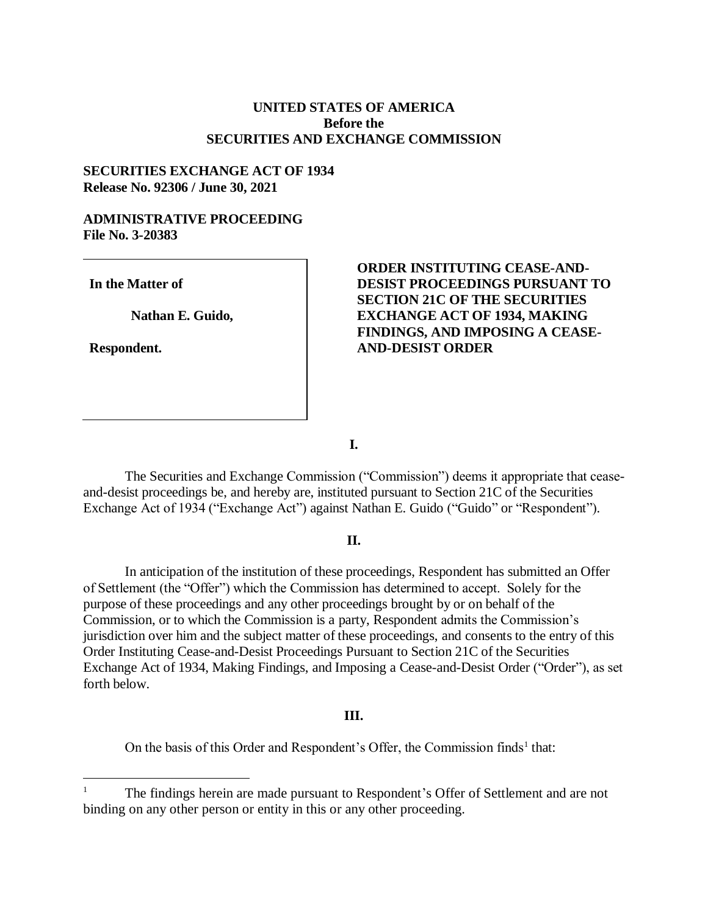# **UNITED STATES OF AMERICA Before the SECURITIES AND EXCHANGE COMMISSION**

### **SECURITIES EXCHANGE ACT OF 1934 Release No. 92306 / June 30, 2021**

# **ADMINISTRATIVE PROCEEDING File No. 3-20383**

**In the Matter of**

**Nathan E. Guido,** 

**Respondent.**

 $\overline{a}$ 

# **ORDER INSTITUTING CEASE-AND-DESIST PROCEEDINGS PURSUANT TO SECTION 21C OF THE SECURITIES EXCHANGE ACT OF 1934, MAKING FINDINGS, AND IMPOSING A CEASE-AND-DESIST ORDER**

**I.**

The Securities and Exchange Commission ("Commission") deems it appropriate that ceaseand-desist proceedings be, and hereby are, instituted pursuant to Section 21C of the Securities Exchange Act of 1934 ("Exchange Act") against Nathan E. Guido ("Guido" or "Respondent").

#### **II.**

In anticipation of the institution of these proceedings, Respondent has submitted an Offer of Settlement (the "Offer") which the Commission has determined to accept. Solely for the purpose of these proceedings and any other proceedings brought by or on behalf of the Commission, or to which the Commission is a party, Respondent admits the Commission's jurisdiction over him and the subject matter of these proceedings, and consents to the entry of this Order Instituting Cease-and-Desist Proceedings Pursuant to Section 21C of the Securities Exchange Act of 1934, Making Findings, and Imposing a Cease-and-Desist Order ("Order"), as set forth below.

#### **III.**

On the basis of this Order and Respondent's Offer, the Commission finds<sup>1</sup> that:

The findings herein are made pursuant to Respondent's Offer of Settlement and are not binding on any other person or entity in this or any other proceeding.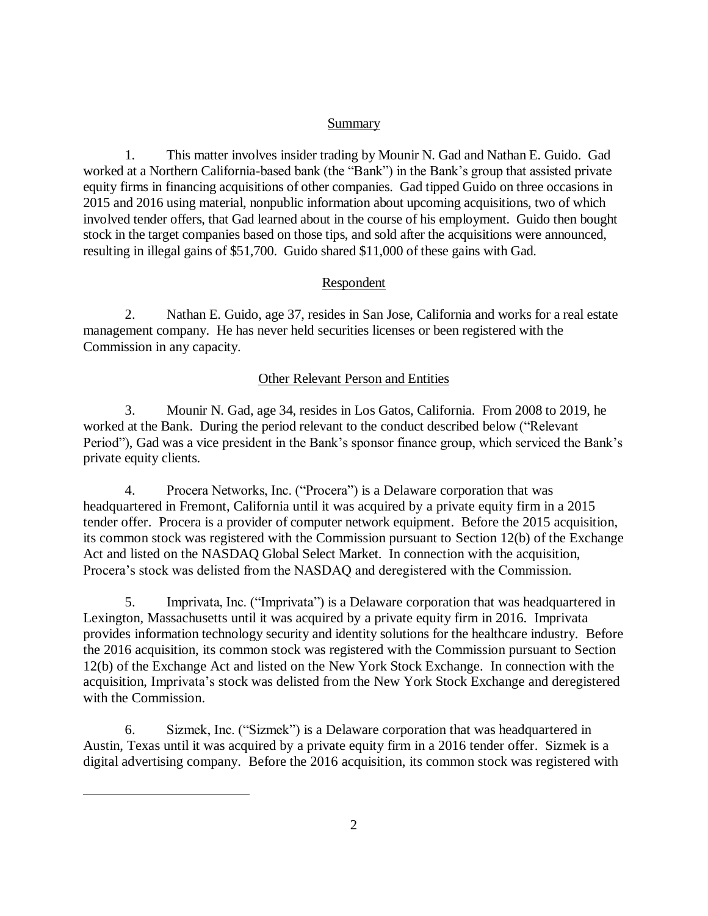# Summary

1. This matter involves insider trading by Mounir N. Gad and Nathan E. Guido. Gad worked at a Northern California-based bank (the "Bank") in the Bank's group that assisted private equity firms in financing acquisitions of other companies. Gad tipped Guido on three occasions in 2015 and 2016 using material, nonpublic information about upcoming acquisitions, two of which involved tender offers, that Gad learned about in the course of his employment. Guido then bought stock in the target companies based on those tips, and sold after the acquisitions were announced, resulting in illegal gains of \$51,700. Guido shared \$11,000 of these gains with Gad.

# Respondent

2. Nathan E. Guido, age 37, resides in San Jose, California and works for a real estate management company. He has never held securities licenses or been registered with the Commission in any capacity.

# Other Relevant Person and Entities

3. Mounir N. Gad, age 34, resides in Los Gatos, California. From 2008 to 2019, he worked at the Bank. During the period relevant to the conduct described below ("Relevant Period"), Gad was a vice president in the Bank's sponsor finance group, which serviced the Bank's private equity clients.

4. Procera Networks, Inc. ("Procera") is a Delaware corporation that was headquartered in Fremont, California until it was acquired by a private equity firm in a 2015 tender offer. Procera is a provider of computer network equipment. Before the 2015 acquisition, its common stock was registered with the Commission pursuant to Section 12(b) of the Exchange Act and listed on the NASDAQ Global Select Market. In connection with the acquisition, Procera's stock was delisted from the NASDAQ and deregistered with the Commission.

5. Imprivata, Inc. ("Imprivata") is a Delaware corporation that was headquartered in Lexington, Massachusetts until it was acquired by a private equity firm in 2016. Imprivata provides information technology security and identity solutions for the healthcare industry. Before the 2016 acquisition, its common stock was registered with the Commission pursuant to Section 12(b) of the Exchange Act and listed on the New York Stock Exchange. In connection with the acquisition, Imprivata's stock was delisted from the New York Stock Exchange and deregistered with the Commission.

6. Sizmek, Inc. ("Sizmek") is a Delaware corporation that was headquartered in Austin, Texas until it was acquired by a private equity firm in a 2016 tender offer. Sizmek is a digital advertising company. Before the 2016 acquisition, its common stock was registered with

 $\overline{a}$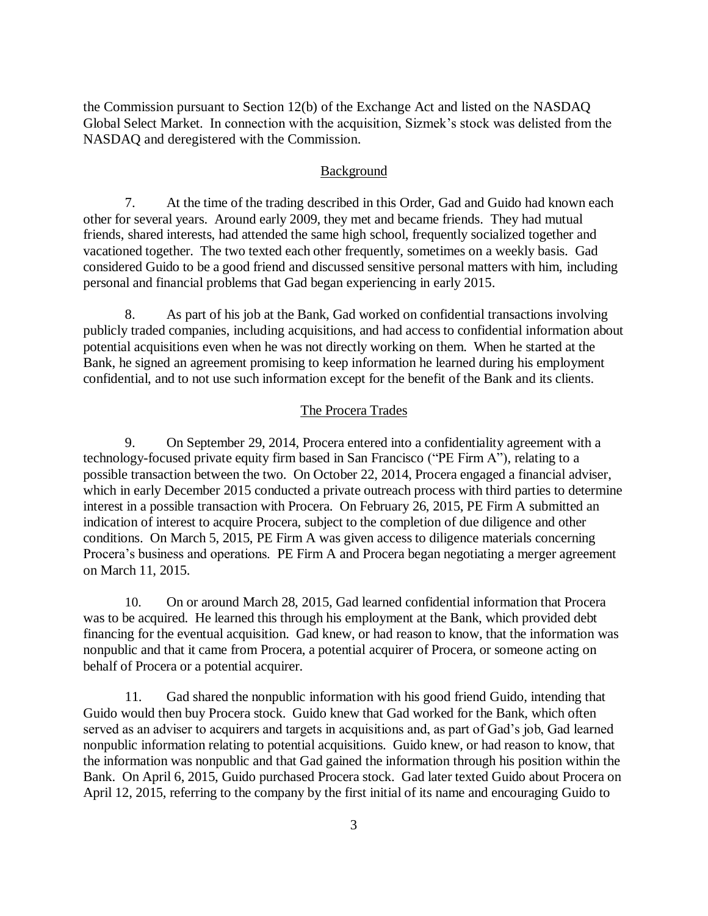the Commission pursuant to Section 12(b) of the Exchange Act and listed on the NASDAQ Global Select Market. In connection with the acquisition, Sizmek's stock was delisted from the NASDAQ and deregistered with the Commission.

#### Background

7. At the time of the trading described in this Order, Gad and Guido had known each other for several years. Around early 2009, they met and became friends. They had mutual friends, shared interests, had attended the same high school, frequently socialized together and vacationed together. The two texted each other frequently, sometimes on a weekly basis. Gad considered Guido to be a good friend and discussed sensitive personal matters with him, including personal and financial problems that Gad began experiencing in early 2015.

8. As part of his job at the Bank, Gad worked on confidential transactions involving publicly traded companies, including acquisitions, and had access to confidential information about potential acquisitions even when he was not directly working on them. When he started at the Bank, he signed an agreement promising to keep information he learned during his employment confidential, and to not use such information except for the benefit of the Bank and its clients.

#### The Procera Trades

9. On September 29, 2014, Procera entered into a confidentiality agreement with a technology-focused private equity firm based in San Francisco ("PE Firm A"), relating to a possible transaction between the two. On October 22, 2014, Procera engaged a financial adviser, which in early December 2015 conducted a private outreach process with third parties to determine interest in a possible transaction with Procera. On February 26, 2015, PE Firm A submitted an indication of interest to acquire Procera, subject to the completion of due diligence and other conditions. On March 5, 2015, PE Firm A was given access to diligence materials concerning Procera's business and operations. PE Firm A and Procera began negotiating a merger agreement on March 11, 2015.

10. On or around March 28, 2015, Gad learned confidential information that Procera was to be acquired. He learned this through his employment at the Bank, which provided debt financing for the eventual acquisition. Gad knew, or had reason to know, that the information was nonpublic and that it came from Procera, a potential acquirer of Procera, or someone acting on behalf of Procera or a potential acquirer.

11. Gad shared the nonpublic information with his good friend Guido, intending that Guido would then buy Procera stock. Guido knew that Gad worked for the Bank, which often served as an adviser to acquirers and targets in acquisitions and, as part of Gad's job, Gad learned nonpublic information relating to potential acquisitions. Guido knew, or had reason to know, that the information was nonpublic and that Gad gained the information through his position within the Bank. On April 6, 2015, Guido purchased Procera stock. Gad later texted Guido about Procera on April 12, 2015, referring to the company by the first initial of its name and encouraging Guido to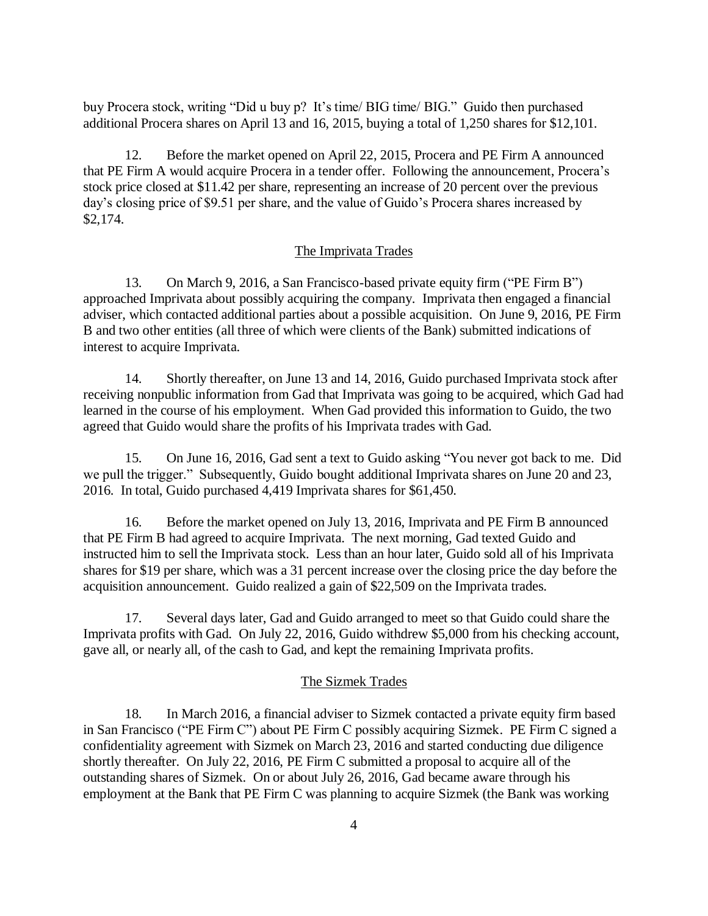buy Procera stock, writing "Did u buy p? It's time/ BIG time/ BIG." Guido then purchased additional Procera shares on April 13 and 16, 2015, buying a total of 1,250 shares for \$12,101.

12. Before the market opened on April 22, 2015, Procera and PE Firm A announced that PE Firm A would acquire Procera in a tender offer. Following the announcement, Procera's stock price closed at \$11.42 per share, representing an increase of 20 percent over the previous day's closing price of \$9.51 per share, and the value of Guido's Procera shares increased by \$2,174.

#### The Imprivata Trades

13. On March 9, 2016, a San Francisco-based private equity firm ("PE Firm B") approached Imprivata about possibly acquiring the company. Imprivata then engaged a financial adviser, which contacted additional parties about a possible acquisition. On June 9, 2016, PE Firm B and two other entities (all three of which were clients of the Bank) submitted indications of interest to acquire Imprivata.

14. Shortly thereafter, on June 13 and 14, 2016, Guido purchased Imprivata stock after receiving nonpublic information from Gad that Imprivata was going to be acquired, which Gad had learned in the course of his employment. When Gad provided this information to Guido, the two agreed that Guido would share the profits of his Imprivata trades with Gad.

15. On June 16, 2016, Gad sent a text to Guido asking "You never got back to me. Did we pull the trigger." Subsequently, Guido bought additional Imprivata shares on June 20 and 23, 2016. In total, Guido purchased 4,419 Imprivata shares for \$61,450.

16. Before the market opened on July 13, 2016, Imprivata and PE Firm B announced that PE Firm B had agreed to acquire Imprivata. The next morning, Gad texted Guido and instructed him to sell the Imprivata stock. Less than an hour later, Guido sold all of his Imprivata shares for \$19 per share, which was a 31 percent increase over the closing price the day before the acquisition announcement. Guido realized a gain of \$22,509 on the Imprivata trades.

17. Several days later, Gad and Guido arranged to meet so that Guido could share the Imprivata profits with Gad. On July 22, 2016, Guido withdrew \$5,000 from his checking account, gave all, or nearly all, of the cash to Gad, and kept the remaining Imprivata profits.

#### The Sizmek Trades

18. In March 2016, a financial adviser to Sizmek contacted a private equity firm based in San Francisco ("PE Firm C") about PE Firm C possibly acquiring Sizmek. PE Firm C signed a confidentiality agreement with Sizmek on March 23, 2016 and started conducting due diligence shortly thereafter. On July 22, 2016, PE Firm C submitted a proposal to acquire all of the outstanding shares of Sizmek. On or about July 26, 2016, Gad became aware through his employment at the Bank that PE Firm C was planning to acquire Sizmek (the Bank was working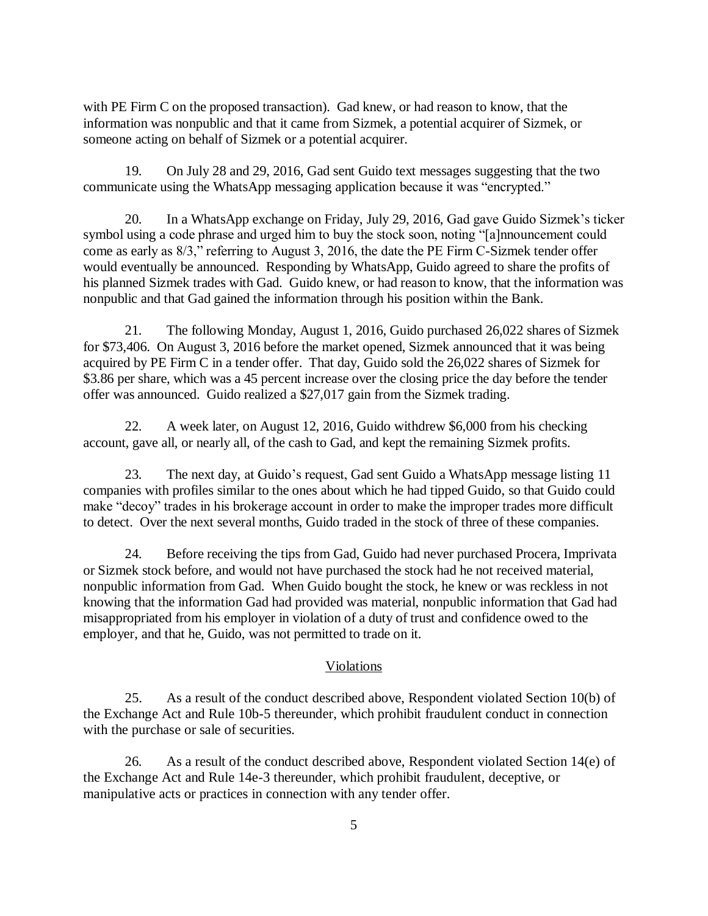with PE Firm C on the proposed transaction). Gad knew, or had reason to know, that the information was nonpublic and that it came from Sizmek, a potential acquirer of Sizmek, or someone acting on behalf of Sizmek or a potential acquirer.

19. On July 28 and 29, 2016, Gad sent Guido text messages suggesting that the two communicate using the WhatsApp messaging application because it was "encrypted."

20. In a WhatsApp exchange on Friday, July 29, 2016, Gad gave Guido Sizmek's ticker symbol using a code phrase and urged him to buy the stock soon, noting "[a]nnouncement could come as early as 8/3," referring to August 3, 2016, the date the PE Firm C-Sizmek tender offer would eventually be announced. Responding by WhatsApp, Guido agreed to share the profits of his planned Sizmek trades with Gad. Guido knew, or had reason to know, that the information was nonpublic and that Gad gained the information through his position within the Bank.

21. The following Monday, August 1, 2016, Guido purchased 26,022 shares of Sizmek for \$73,406. On August 3, 2016 before the market opened, Sizmek announced that it was being acquired by PE Firm C in a tender offer. That day, Guido sold the 26,022 shares of Sizmek for \$3.86 per share, which was a 45 percent increase over the closing price the day before the tender offer was announced. Guido realized a \$27,017 gain from the Sizmek trading.

22. A week later, on August 12, 2016, Guido withdrew \$6,000 from his checking account, gave all, or nearly all, of the cash to Gad, and kept the remaining Sizmek profits.

23. The next day, at Guido's request, Gad sent Guido a WhatsApp message listing 11 companies with profiles similar to the ones about which he had tipped Guido, so that Guido could make "decoy" trades in his brokerage account in order to make the improper trades more difficult to detect. Over the next several months, Guido traded in the stock of three of these companies.

24. Before receiving the tips from Gad, Guido had never purchased Procera, Imprivata or Sizmek stock before, and would not have purchased the stock had he not received material, nonpublic information from Gad. When Guido bought the stock, he knew or was reckless in not knowing that the information Gad had provided was material, nonpublic information that Gad had misappropriated from his employer in violation of a duty of trust and confidence owed to the employer, and that he, Guido, was not permitted to trade on it.

# Violations

25. As a result of the conduct described above, Respondent violated Section 10(b) of the Exchange Act and Rule 10b-5 thereunder, which prohibit fraudulent conduct in connection with the purchase or sale of securities.

26. As a result of the conduct described above, Respondent violated Section 14(e) of the Exchange Act and Rule 14e-3 thereunder, which prohibit fraudulent, deceptive, or manipulative acts or practices in connection with any tender offer.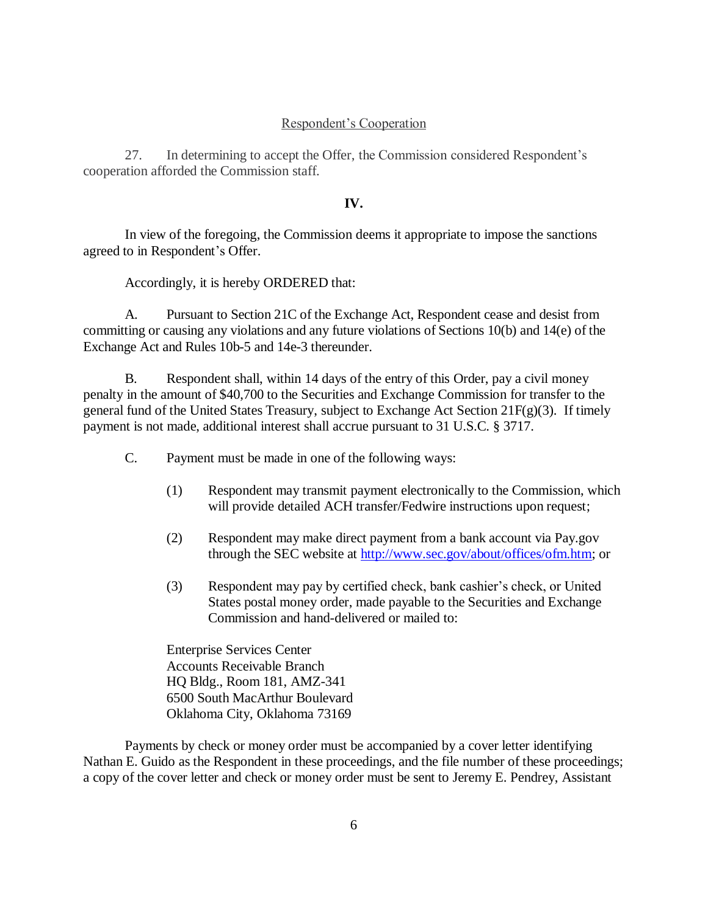#### Respondent's Cooperation

27. In determining to accept the Offer, the Commission considered Respondent's cooperation afforded the Commission staff.

#### **IV.**

In view of the foregoing, the Commission deems it appropriate to impose the sanctions agreed to in Respondent's Offer.

Accordingly, it is hereby ORDERED that:

A. Pursuant to Section 21C of the Exchange Act, Respondent cease and desist from committing or causing any violations and any future violations of Sections 10(b) and 14(e) of the Exchange Act and Rules 10b-5 and 14e-3 thereunder.

B. Respondent shall, within 14 days of the entry of this Order, pay a civil money penalty in the amount of \$40,700 to the Securities and Exchange Commission for transfer to the general fund of the United States Treasury, subject to Exchange Act Section 21 $F(g)(3)$ . If timely payment is not made, additional interest shall accrue pursuant to 31 U.S.C. § 3717.

C. Payment must be made in one of the following ways:

- (1) Respondent may transmit payment electronically to the Commission, which will provide detailed ACH transfer/Fedwire instructions upon request;
- (2) Respondent may make direct payment from a bank account via Pay.gov through the SEC website at [http://www.sec.gov/about/offices/ofm.htm;](http://www.sec.gov/about/offices/ofm.htm) or
- (3) Respondent may pay by certified check, bank cashier's check, or United States postal money order, made payable to the Securities and Exchange Commission and hand-delivered or mailed to:

Enterprise Services Center Accounts Receivable Branch HQ Bldg., Room 181, AMZ-341 6500 South MacArthur Boulevard Oklahoma City, Oklahoma 73169

Payments by check or money order must be accompanied by a cover letter identifying Nathan E. Guido as the Respondent in these proceedings, and the file number of these proceedings; a copy of the cover letter and check or money order must be sent to Jeremy E. Pendrey, Assistant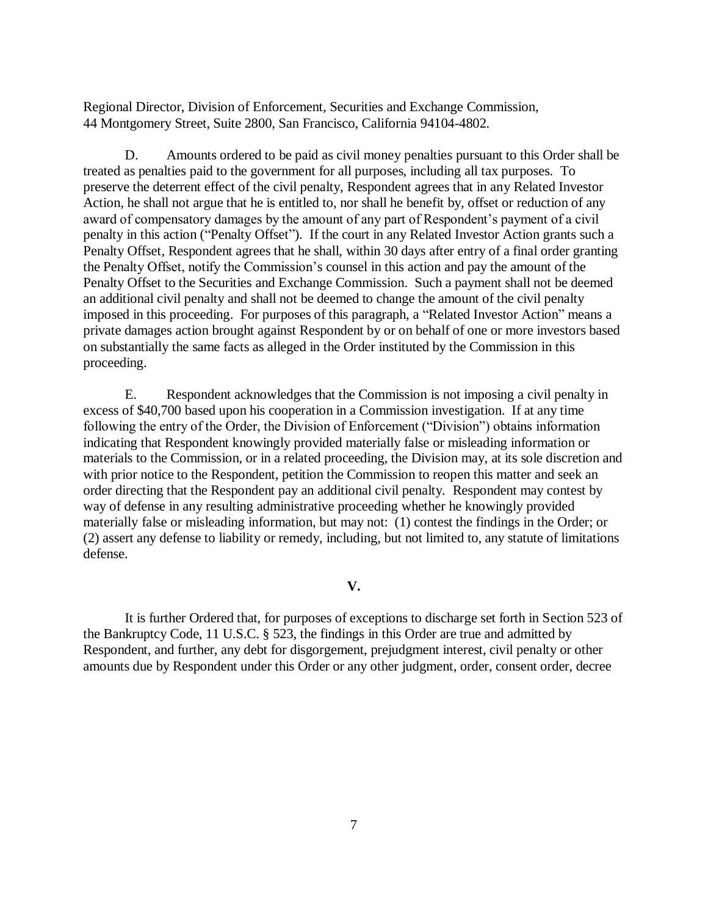Regional Director, Division of Enforcement, Securities and Exchange Commission, 44 Montgomery Street, Suite 2800, San Francisco, California 94104-4802.

D. Amounts ordered to be paid as civil money penalties pursuant to this Order shall be treated as penalties paid to the government for all purposes, including all tax purposes. To preserve the deterrent effect of the civil penalty, Respondent agrees that in any Related Investor Action, he shall not argue that he is entitled to, nor shall he benefit by, offset or reduction of any award of compensatory damages by the amount of any part of Respondent's payment of a civil penalty in this action ("Penalty Offset"). If the court in any Related Investor Action grants such a Penalty Offset, Respondent agrees that he shall, within 30 days after entry of a final order granting the Penalty Offset, notify the Commission's counsel in this action and pay the amount of the Penalty Offset to the Securities and Exchange Commission. Such a payment shall not be deemed an additional civil penalty and shall not be deemed to change the amount of the civil penalty imposed in this proceeding. For purposes of this paragraph, a "Related Investor Action" means a private damages action brought against Respondent by or on behalf of one or more investors based on substantially the same facts as alleged in the Order instituted by the Commission in this proceeding.

E. Respondent acknowledges that the Commission is not imposing a civil penalty in excess of \$40,700 based upon his cooperation in a Commission investigation. If at any time following the entry of the Order, the Division of Enforcement ("Division") obtains information indicating that Respondent knowingly provided materially false or misleading information or materials to the Commission, or in a related proceeding, the Division may, at its sole discretion and with prior notice to the Respondent, petition the Commission to reopen this matter and seek an order directing that the Respondent pay an additional civil penalty. Respondent may contest by way of defense in any resulting administrative proceeding whether he knowingly provided materially false or misleading information, but may not: (1) contest the findings in the Order; or (2) assert any defense to liability or remedy, including, but not limited to, any statute of limitations defense.

## **V.**

It is further Ordered that, for purposes of exceptions to discharge set forth in Section 523 of the Bankruptcy Code, 11 U.S.C. § 523, the findings in this Order are true and admitted by Respondent, and further, any debt for disgorgement, prejudgment interest, civil penalty or other amounts due by Respondent under this Order or any other judgment, order, consent order, decree